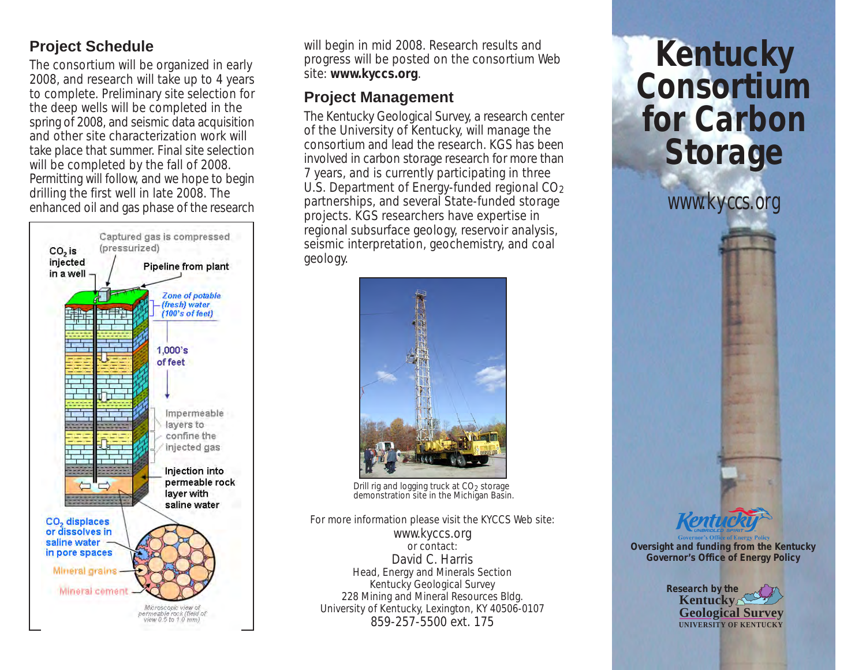## **Project Schedule**

The consortium will be organized in early 2008, and research will take up to 4 years to complete. Preliminary site selection for the deep wells will be completed in the spring of 2008, and seismic data acquisition and other site characterization work will take place that summer. Final site selection will be completed by the fall of 2008. Permitting will follow, and we hope to begin drilling the first well in late 2008. The enhanced oil and gas phase of the research



will begin in mid 2008. Research results and progress will be posted on the consortium Web site: **www.kyccs.org**.

## **Project Management**

The Kentucky Geological Survey, a research center of the University of Kentucky, will manage the consortium and lead the research. KGS has been involved in carbon storage research for more than 7 years, and is currently participating in three U.S. Department of Energy-funded regional CO<sub>2</sub> partnerships, and several State-funded storage projects. KGS researchers have expertise in regional subsurface geology, reservoir analysis, seismic interpretation, geochemistry, and coal geology.



Drill rig and logging truck at CO2 storage demonstration site in the Michigan Basin.

For more information please visit the KYCCS Web site: www.kyccs.org or contact: David C. Harris Head, Energy and Minerals Section Kentucky Geological Survey 228 Mining and Mineral Resources Bldg. University of Kentucky, Lexington, KY 40506-0107 859-257-5500 ext. 175

# **Kentucky Consortium for Carbon Storage**

*www.kyccs.org*



**Oversight and funding from the Kentucky Governor's Office of Energy Policy**